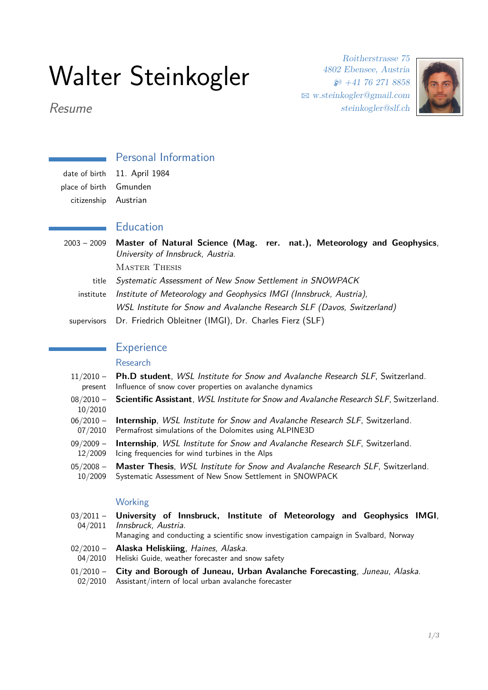# Walter Steinkogler

Roitherstrasse 75 4802 Ebensee, Austria  $\textcircled{1}$  +41 76 271 8858 B [w.steinkogler@gmail.com](mailto:w.steinkogler@gmail.com) steinkogler@slf.ch



Resume

# Personal Information

place of birth Gmunden citizenship Austrian

date of birth 11. April 1984

#### Education

2003 – 2009 **Master of Natural Science (Mag. rer. nat.), Meteorology and Geophysics**, University of Innsbruck, Austria. Master Thesis title Systematic Assessment of New Snow Settlement in SNOWPACK institute Institute of Meteorology and Geophysics IMGI (Innsbruck, Austria), WSL Institute for Snow and Avalanche Research SLF (Davos, Switzerland)

supervisors Dr. Friedrich Obleitner (IMGI), Dr. Charles Fierz (SLF)

#### **Experience**

#### Research

- $11/2010$ present **Ph.D student**, WSL Institute for Snow and Avalanche Research SLF, Switzerland. Influence of snow cover properties on avalanche dynamics
- $08/2010 -$ 10/2010 **Scientific Assistant**, WSL Institute for Snow and Avalanche Research SLF, Switzerland.
- $06/2010 -$ 07/2010 **Internship**, WSL Institute for Snow and Avalanche Research SLF, Switzerland. Permafrost simulations of the Dolomites using ALPINE3D
- $09/2009 -$ 12/2009 **Internship**, WSL Institute for Snow and Avalanche Research SLF, Switzerland. Icing frequencies for wind turbines in the Alps
- $05/2008 -$ 10/2009 **Master Thesis**, WSL Institute for Snow and Avalanche Research SLF, Switzerland. Systematic Assessment of New Snow Settlement in SNOWPACK

#### Working

 $03/2011 -$ 04/2011 **University of Innsbruck, Institute of Meteorology and Geophysics IMGI**, Innsbruck, Austria. Managing and conducting a scientific snow investigation campaign in Svalbard, Norway  $02/2010 -$ 04/2010 **Alaska Heliskiing**, Haines, Alaska. Heliski Guide, weather forecaster and snow safety  $01/2010 -$ 02/2010 **City and Borough of Juneau, Urban Avalanche Forecasting**, Juneau, Alaska. Assistant/intern of local urban avalanche forecaster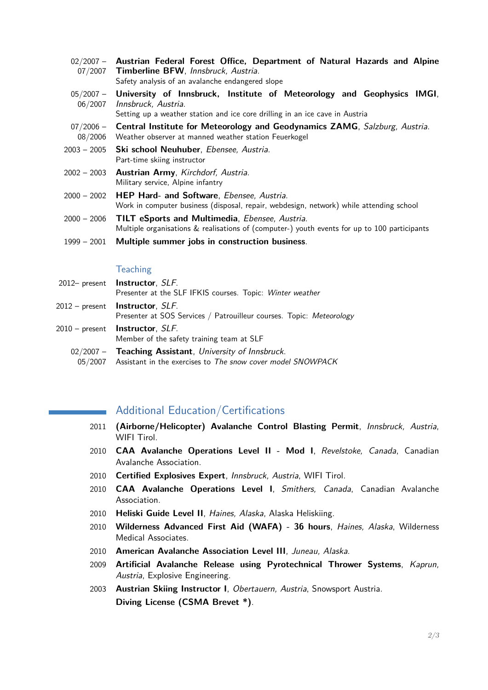| $02/2007 -$<br>07/2007 | Austrian Federal Forest Office, Department of Natural Hazards and Alpine<br>Timberline BFW, Innsbruck, Austria.<br>Safety analysis of an avalanche endangered slope                     |
|------------------------|-----------------------------------------------------------------------------------------------------------------------------------------------------------------------------------------|
| 06/2007                | 05/2007 - University of Innsbruck, Institute of Meteorology and Geophysics IMGI,<br>Innsbruck, Austria.<br>Setting up a weather station and ice core drilling in an ice cave in Austria |
| $07/2006 -$<br>08/2006 | Central Institute for Meteorology and Geodynamics ZAMG, Salzburg, Austria.<br>Weather observer at manned weather station Feuerkogel                                                     |
| 2003 - 2005            | Ski school Neuhuber, Ebensee, Austria.<br>Part-time skiing instructor                                                                                                                   |
| $2002 - 2003$          | Austrian Army, Kirchdorf, Austria.<br>Military service, Alpine infantry                                                                                                                 |
| $2000 - 2002$          | <b>HEP Hard- and Software, Ebensee, Austria.</b><br>Work in computer business (disposal, repair, webdesign, network) while attending school                                             |
| $2000 - 2006$          | TILT eSports and Multimedia, Ebensee, Austria.<br>Multiple organisations & realisations of (computer-) youth events for up to 100 participants                                          |
| 1999 - 2001            | Multiple summer jobs in construction business.                                                                                                                                          |

#### **Teaching**

| 2012- present <b>Instructor</b> , SLF.<br>Presenter at the SLF IFKIS courses. Topic: Winter weather                           |
|-------------------------------------------------------------------------------------------------------------------------------|
| 2012 – present <b>Instructor</b> , <i>SLF</i> .<br>Presenter at SOS Services / Patrouilleur courses. Topic: Meteorology       |
| 2010 – present <b>Instructor</b> , SLF.<br>Member of the safety training team at SLF                                          |
| 02/2007 - Teaching Assistant, University of Innsbruck.<br>05/2007 Assistant in the exercises to The snow cover model SNOWPACK |

#### Additional Education/Certifications

- 2011 **(Airborne/Helicopter) Avalanche Control Blasting Permit**, Innsbruck, Austria, WIFI Tirol.
- 2010 **CAA Avalanche Operations Level II Mod I**, Revelstoke, Canada, Canadian Avalanche Association.
- 2010 **Certified Explosives Expert**, Innsbruck, Austria, WIFI Tirol.
- 2010 **CAA Avalanche Operations Level I**, Smithers, Canada, Canadian Avalanche Association.
- 2010 **Heliski Guide Level II**, Haines, Alaska, Alaska Heliskiing.
- 2010 **Wilderness Advanced First Aid (WAFA) 36 hours**, Haines, Alaska, Wilderness Medical Associates.
- 2010 **American Avalanche Association Level III**, Juneau, Alaska.
- 2009 **Artificial Avalanche Release using Pyrotechnical Thrower Systems**, Kaprun, Austria, Explosive Engineering.
- 2003 **Austrian Skiing Instructor I**, Obertauern, Austria, Snowsport Austria. **Diving License (CSMA Brevet \*)**.